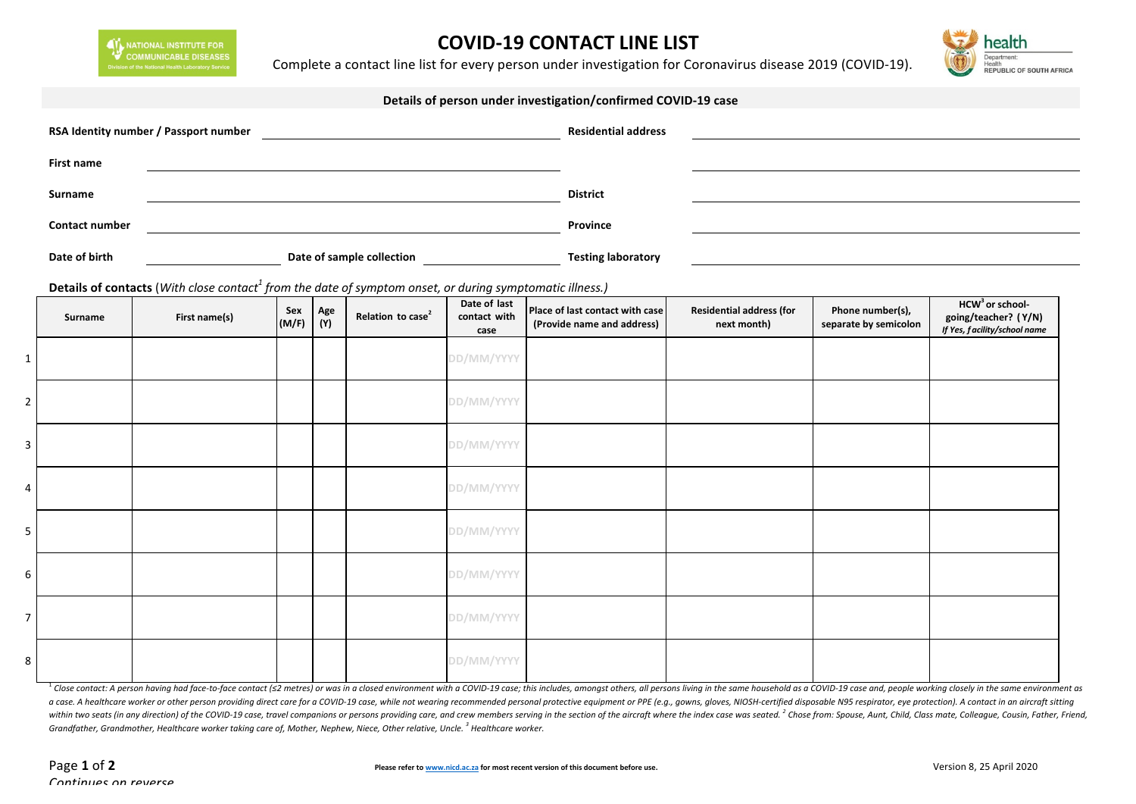NATIONAL INSTITUTE FOR<br>COMMUNICABLE DISEASES

## **COVID-19 CONTACT LINE LIST**

Complete a contact line list for every person under investigation for Coronavirus disease 2019 (COVID-19).



| Details of person under investigation/confirmed COVID-19 case |                                                                                                                                       |              |            |                                                               |                                      |                                                               |                                                |                                           |                                                                                     |  |  |  |
|---------------------------------------------------------------|---------------------------------------------------------------------------------------------------------------------------------------|--------------|------------|---------------------------------------------------------------|--------------------------------------|---------------------------------------------------------------|------------------------------------------------|-------------------------------------------|-------------------------------------------------------------------------------------|--|--|--|
|                                                               | RSA Identity number / Passport number                                                                                                 |              |            |                                                               | <b>Residential address</b>           |                                                               |                                                |                                           |                                                                                     |  |  |  |
| <b>First name</b>                                             |                                                                                                                                       |              |            |                                                               |                                      |                                                               |                                                |                                           |                                                                                     |  |  |  |
| Surname                                                       |                                                                                                                                       |              |            |                                                               | <b>District</b>                      |                                                               |                                                |                                           |                                                                                     |  |  |  |
| <b>Contact number</b>                                         |                                                                                                                                       |              |            |                                                               |                                      | Province                                                      |                                                |                                           |                                                                                     |  |  |  |
| Date of birth                                                 |                                                                                                                                       |              |            | Date of sample collection<br><u>Late of sample collection</u> |                                      | <b>Testing laboratory</b>                                     |                                                |                                           |                                                                                     |  |  |  |
| Surname                                                       | Details of contacts (With close contact <sup>1</sup> from the date of symptom onset, or during symptomatic illness.)<br>First name(s) | Sex<br>(M/F) | Age<br>(Y) | Relation to case <sup>2</sup>                                 | Date of last<br>contact with<br>case | Place of last contact with case<br>(Provide name and address) | <b>Residential address (for</b><br>next month) | Phone number(s),<br>separate by semicolon | HCW <sup>3</sup> or school-<br>going/teacher? (Y/N)<br>If Yes, facility/school name |  |  |  |
| $\mathbf{1}$                                                  |                                                                                                                                       |              |            |                                                               | DD/MM/YYYY                           |                                                               |                                                |                                           |                                                                                     |  |  |  |
|                                                               |                                                                                                                                       |              |            |                                                               | DD/MM/YYYY                           |                                                               |                                                |                                           |                                                                                     |  |  |  |
| $\mathbf{3}$                                                  |                                                                                                                                       |              |            |                                                               | DD/MM/YYYY                           |                                                               |                                                |                                           |                                                                                     |  |  |  |
| 4                                                             |                                                                                                                                       |              |            |                                                               | DD/MM/YYYY                           |                                                               |                                                |                                           |                                                                                     |  |  |  |
| 5 <sub>1</sub>                                                |                                                                                                                                       |              |            |                                                               | DD/MM/YYYY                           |                                                               |                                                |                                           |                                                                                     |  |  |  |
| 6                                                             |                                                                                                                                       |              |            |                                                               | DD/MM/YYYY                           |                                                               |                                                |                                           |                                                                                     |  |  |  |

8 **DD/MM/YYYY**

<sup>1</sup> Close contact: A person having had face-to-face contact (s2 metres) or was in a closed environment with a COVID-19 case; this includes, amongst others, all persons living in the same household as a COVID-19 case and, p a case. A healthcare worker or other person providing direct care for a COVID-19 case, while not wearing recommended personal protective equipment or PPE (e.g., gowns, gloves, NIOSH-certified disposable N95 respirator, eye within two seats (in any direction) of the COVID-19 case, travel companions or persons providing care, and crew members serving in the section of the aircraft where the index case was seated. <sup>2</sup> Chose from: Spouse, Aunt, *Grandfather, Grandmother, Healthcare worker taking care of, Mother, Nephew, Niece, Other relative, Uncle.*<sup>3</sup> *Healthcare worker.* 

7 **DD/MM/YYYY**